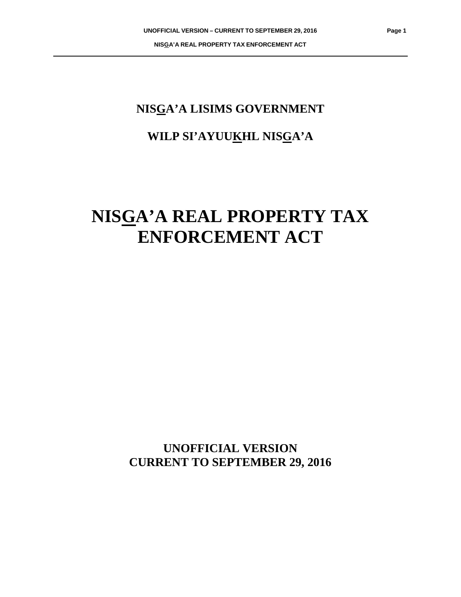# **NISGA'A LISIMS GOVERNMENT**

# **WILP SI'AYUUKHL NISGA'A**

# **NISGA'A REAL PROPERTY TAX ENFORCEMENT ACT**

**UNOFFICIAL VERSION CURRENT TO SEPTEMBER 29, 2016**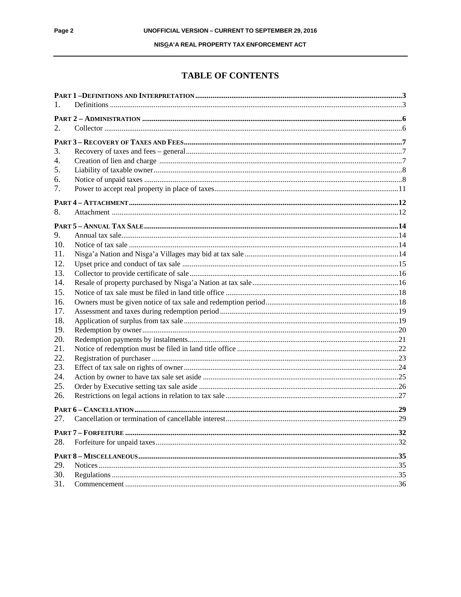#### NISGA' A REAL PROPERTY TAX ENFORCEMENT ACT

## **TABLE OF CONTENTS**

| 1.  |  |
|-----|--|
|     |  |
| 2.  |  |
|     |  |
| 3.  |  |
| 4.  |  |
| 5.  |  |
| 6.  |  |
| 7.  |  |
|     |  |
| 8.  |  |
|     |  |
| 9.  |  |
| 10. |  |
| 11. |  |
| 12. |  |
| 13. |  |
| 14. |  |
| 15. |  |
| 16. |  |
| 17. |  |
| 18. |  |
| 19. |  |
| 20. |  |
| 21. |  |
| 22. |  |
| 23. |  |
| 24. |  |
| 25. |  |
| 26. |  |
|     |  |
| 27. |  |
|     |  |
| 28. |  |
|     |  |
| 29. |  |
| 30. |  |
| 31. |  |
|     |  |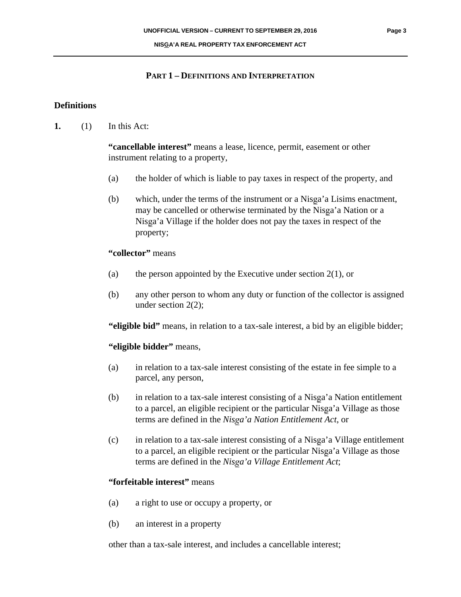#### **NISGA'A REAL PROPERTY TAX ENFORCEMENT ACT**

### **PART 1 – DEFINITIONS AND INTERPRETATION**

### **Definitions**

**1.** (1) In this Act:

**"cancellable interest"** means a lease, licence, permit, easement or other instrument relating to a property,

- (a) the holder of which is liable to pay taxes in respect of the property, and
- (b) which, under the terms of the instrument or a Nisga'a Lisims enactment, may be cancelled or otherwise terminated by the Nisga'a Nation or a Nisga'a Village if the holder does not pay the taxes in respect of the property;

## **"collector"** means

- (a) the person appointed by the Executive under section  $2(1)$ , or
- (b) any other person to whom any duty or function of the collector is assigned under section 2(2);

**"eligible bid"** means, in relation to a tax-sale interest, a bid by an eligible bidder;

# **"eligible bidder"** means,

- (a) in relation to a tax-sale interest consisting of the estate in fee simple to a parcel, any person,
- (b) in relation to a tax-sale interest consisting of a Nisga'a Nation entitlement to a parcel, an eligible recipient or the particular Nisga'a Village as those terms are defined in the *NisÞa'a Nation Entitlement Act*, or
- $(c)$  in relation to a tax-sale interest consisting of a Nisga'a Village entitlement to a parcel, an eligible recipient or the particular Nisga'a Village as those terms are defined in the *NisÞa'a Village Entitlement Act*;

# **"forfeitable interest"** means

- (a) a right to use or occupy a property, or
- (b) an interest in a property

other than a tax-sale interest, and includes a cancellable interest;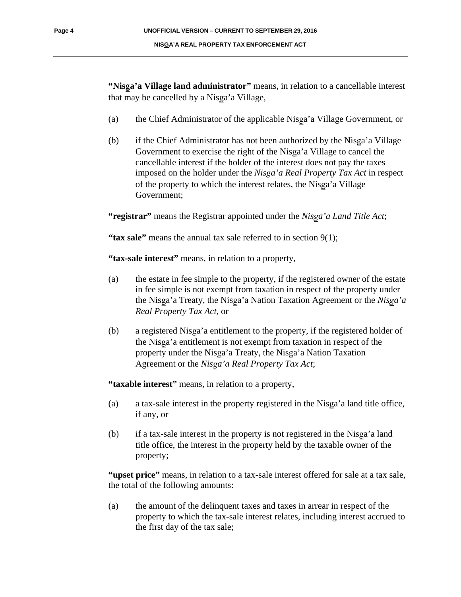"Nisga'a Village land administrator" means, in relation to a cancellable interest that may be cancelled by a Nisga'a Village,

- (a) the Chief Administrator of the applicable Nisga'a Village Government, or
- (b) if the Chief Administrator has not been authorized by the Nisga'a Village Government to exercise the right of the Nisga'a Village to cancel the cancellable interest if the holder of the interest does not pay the taxes imposed on the holder under the *Nisga'a Real Property Tax Act* in respect of the property to which the interest relates, the Nisga'a Village Government;

**"registrar"** means the Registrar appointed under the *NisÞa'a Land Title Act*;

**"tax sale"** means the annual tax sale referred to in section 9(1);

**"tax-sale interest"** means, in relation to a property,

- (a) the estate in fee simple to the property, if the registered owner of the estate in fee simple is not exempt from taxation in respect of the property under the Nisga'a Treaty, the Nisga'a Nation Taxation Agreement or the *Nisga'a Real Property Tax Act*, or
- (b) a registered Nisga'a entitlement to the property, if the registered holder of the Nisga'a entitlement is not exempt from taxation in respect of the property under the Nisga'a Treaty, the Nisga'a Nation Taxation Agreement or the *NisÞa'a Real Property Tax Act*;

**"taxable interest"** means, in relation to a property,

- (a) a tax-sale interest in the property registered in the Nisga'a land title office, if any, or
- (b) if a tax-sale interest in the property is not registered in the Nisga'a land title office, the interest in the property held by the taxable owner of the property;

"**upset price**" means, in relation to a tax-sale interest offered for sale at a tax sale, the total of the following amounts:

(a) the amount of the delinquent taxes and taxes in arrear in respect of the property to which the tax-sale interest relates, including interest accrued to the first day of the tax sale;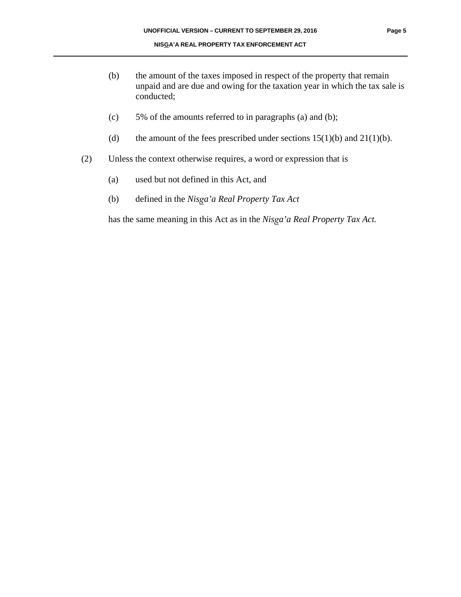- (b) the amount of the taxes imposed in respect of the property that remain unpaid and are due and owing for the taxation year in which the tax sale is conducted;
- (c) 5% of the amounts referred to in paragraphs (a) and (b);
- (d) the amount of the fees prescribed under sections  $15(1)(b)$  and  $21(1)(b)$ .
- (2) Unless the context otherwise requires, a word or expression that is
	- (a) used but not defined in this Act, and
	- (b) defined in the *NisÞa'a Real Property Tax Act*

has the same meaning in this Act as in the *Nisga'a Real Property Tax Act.*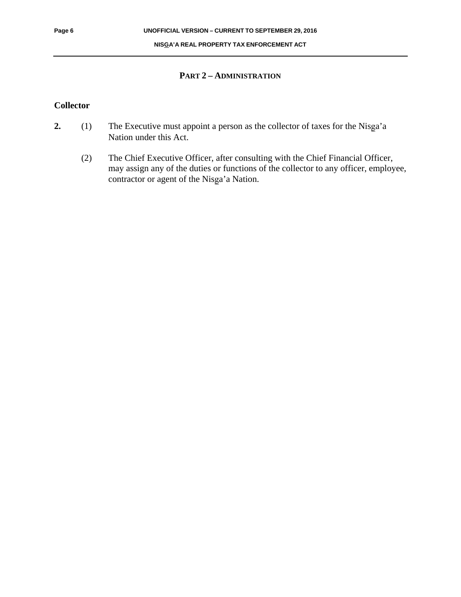#### **NISGA'A REAL PROPERTY TAX ENFORCEMENT ACT**

#### **PART 2 – ADMINISTRATION**

#### **Collector**

- **2.** (1) The Executive must appoint a person as the collector of taxes for the Nisga'a Nation under this Act.
	- (2) The Chief Executive Officer, after consulting with the Chief Financial Officer, may assign any of the duties or functions of the collector to any officer, employee, contractor or agent of the Nisga'a Nation.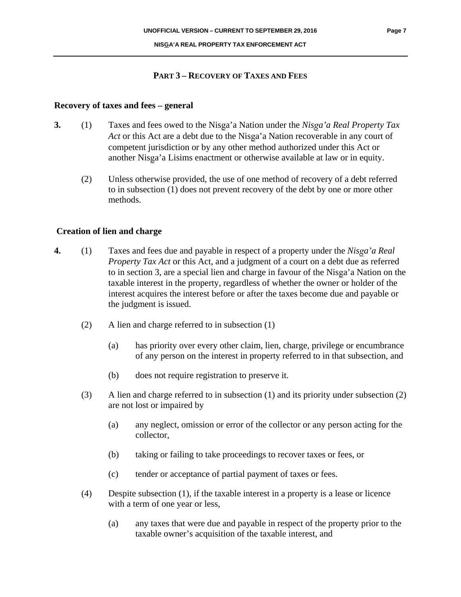#### **PART 3 – RECOVERY OF TAXES AND FEES**

#### **Recovery of taxes and fees – general**

- **3.** (1) Taxes and fees owed to the Nisga'a Nation under the *Nisga'a Real Property Tax Act* or this Act are a debt due to the Nisga'a Nation recoverable in any court of competent jurisdiction or by any other method authorized under this Act or another Nisga'a Lisims enactment or otherwise available at law or in equity.
	- (2) Unless otherwise provided, the use of one method of recovery of a debt referred to in subsection (1) does not prevent recovery of the debt by one or more other methods.

#### **Creation of lien and charge**

- **4.** (1) Taxes and fees due and payable in respect of a property under the *Nisga'a Real Property Tax Act* or this Act, and a judgment of a court on a debt due as referred to in section 3, are a special lien and charge in favour of the Nisga'a Nation on the taxable interest in the property, regardless of whether the owner or holder of the interest acquires the interest before or after the taxes become due and payable or the judgment is issued.
	- (2) A lien and charge referred to in subsection (1)
		- (a) has priority over every other claim, lien, charge, privilege or encumbrance of any person on the interest in property referred to in that subsection, and
		- (b) does not require registration to preserve it.
	- (3) A lien and charge referred to in subsection (1) and its priority under subsection (2) are not lost or impaired by
		- (a) any neglect, omission or error of the collector or any person acting for the collector,
		- (b) taking or failing to take proceedings to recover taxes or fees, or
		- (c) tender or acceptance of partial payment of taxes or fees.
	- (4) Despite subsection (1), if the taxable interest in a property is a lease or licence with a term of one year or less,
		- (a) any taxes that were due and payable in respect of the property prior to the taxable owner's acquisition of the taxable interest, and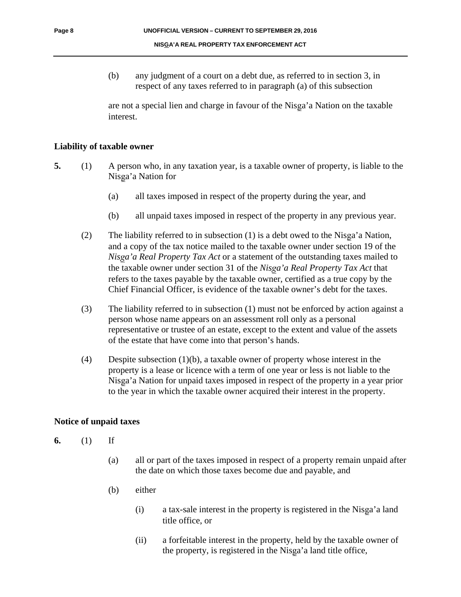(b) any judgment of a court on a debt due, as referred to in section 3, in respect of any taxes referred to in paragraph (a) of this subsection

are not a special lien and charge in favour of the Nisga'a Nation on the taxable interest.

#### **Liability of taxable owner**

- **5.** (1) A person who, in any taxation year, is a taxable owner of property, is liable to the Nisga'a Nation for
	- (a) all taxes imposed in respect of the property during the year, and
	- (b) all unpaid taxes imposed in respect of the property in any previous year.
	- (2) The liability referred to in subsection  $(1)$  is a debt owed to the Nisga'a Nation, and a copy of the tax notice mailed to the taxable owner under section 19 of the *NisÞa'a Real Property Tax Act* or a statement of the outstanding taxes mailed to the taxable owner under section 31 of the *Nisga'a Real Property Tax Act* that refers to the taxes payable by the taxable owner, certified as a true copy by the Chief Financial Officer, is evidence of the taxable owner's debt for the taxes.
	- (3) The liability referred to in subsection (1) must not be enforced by action against a person whose name appears on an assessment roll only as a personal representative or trustee of an estate, except to the extent and value of the assets of the estate that have come into that person's hands.
	- (4) Despite subsection (1)(b), a taxable owner of property whose interest in the property is a lease or licence with a term of one year or less is not liable to the Nisga'a Nation for unpaid taxes imposed in respect of the property in a year prior to the year in which the taxable owner acquired their interest in the property.

#### **Notice of unpaid taxes**

- **6.** (1) If
	- (a) all or part of the taxes imposed in respect of a property remain unpaid after the date on which those taxes become due and payable, and
	- (b) either
		- $(i)$  a tax-sale interest in the property is registered in the Nisga'a land title office, or
		- (ii) a forfeitable interest in the property, held by the taxable owner of the property, is registered in the Nisga'a land title office,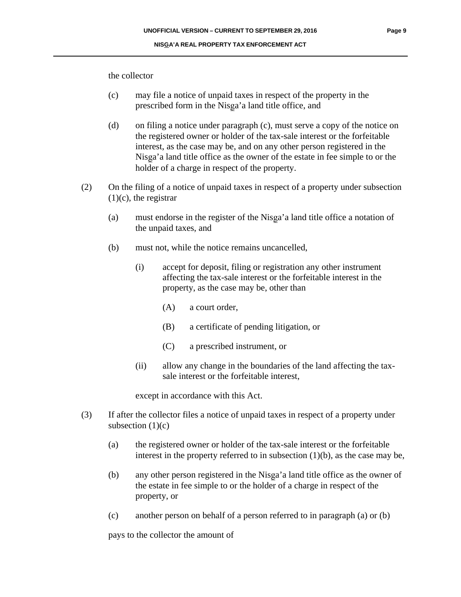the collector

- (c) may file a notice of unpaid taxes in respect of the property in the prescribed form in the Nisga'a land title office, and
- (d) on filing a notice under paragraph (c), must serve a copy of the notice on the registered owner or holder of the tax-sale interest or the forfeitable interest, as the case may be, and on any other person registered in the Nisga'a land title office as the owner of the estate in fee simple to or the holder of a charge in respect of the property.
- (2) On the filing of a notice of unpaid taxes in respect of a property under subsection  $(1)(c)$ , the registrar
	- (a) must endorse in the register of the Nisga'a land title office a notation of the unpaid taxes, and
	- (b) must not, while the notice remains uncancelled,
		- (i) accept for deposit, filing or registration any other instrument affecting the tax-sale interest or the forfeitable interest in the property, as the case may be, other than
			- (A) a court order,
			- (B) a certificate of pending litigation, or
			- (C) a prescribed instrument, or
		- (ii) allow any change in the boundaries of the land affecting the taxsale interest or the forfeitable interest,

except in accordance with this Act.

- (3) If after the collector files a notice of unpaid taxes in respect of a property under subsection  $(1)(c)$ 
	- (a) the registered owner or holder of the tax-sale interest or the forfeitable interest in the property referred to in subsection  $(1)(b)$ , as the case may be,
	- (b) any other person registered in the Nisga'a land title office as the owner of the estate in fee simple to or the holder of a charge in respect of the property, or
	- (c) another person on behalf of a person referred to in paragraph (a) or (b)

pays to the collector the amount of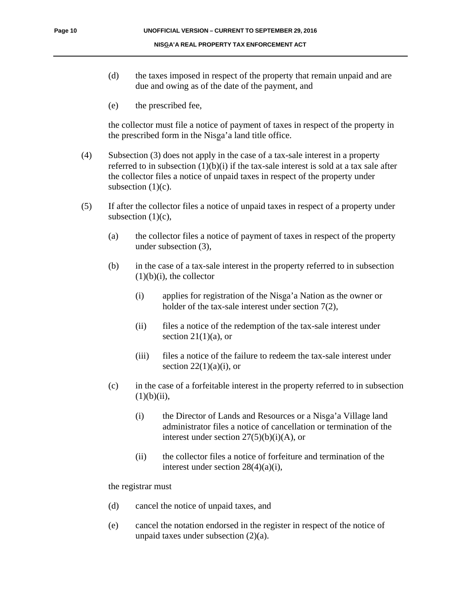- (d) the taxes imposed in respect of the property that remain unpaid and are due and owing as of the date of the payment, and
- (e) the prescribed fee,

the collector must file a notice of payment of taxes in respect of the property in the prescribed form in the Nisga'a land title office.

- (4) Subsection (3) does not apply in the case of a tax-sale interest in a property referred to in subsection  $(1)(b)(i)$  if the tax-sale interest is sold at a tax sale after the collector files a notice of unpaid taxes in respect of the property under subsection  $(1)(c)$ .
- (5) If after the collector files a notice of unpaid taxes in respect of a property under subsection  $(1)(c)$ ,
	- (a) the collector files a notice of payment of taxes in respect of the property under subsection (3),
	- (b) in the case of a tax-sale interest in the property referred to in subsection  $(1)(b)(i)$ , the collector
		- $(i)$  applies for registration of the Nisga'a Nation as the owner or holder of the tax-sale interest under section 7(2),
		- (ii) files a notice of the redemption of the tax-sale interest under section  $21(1)(a)$ , or
		- (iii) files a notice of the failure to redeem the tax-sale interest under section  $22(1)(a)(i)$ , or
	- (c) in the case of a forfeitable interest in the property referred to in subsection  $(1)(b)(ii)$ ,
		- (i) the Director of Lands and Resources or a Nisga'a Village land administrator files a notice of cancellation or termination of the interest under section  $27(5)(b)(i)(A)$ , or
		- (ii) the collector files a notice of forfeiture and termination of the interest under section 28(4)(a)(i),

the registrar must

- (d) cancel the notice of unpaid taxes, and
- (e) cancel the notation endorsed in the register in respect of the notice of unpaid taxes under subsection (2)(a).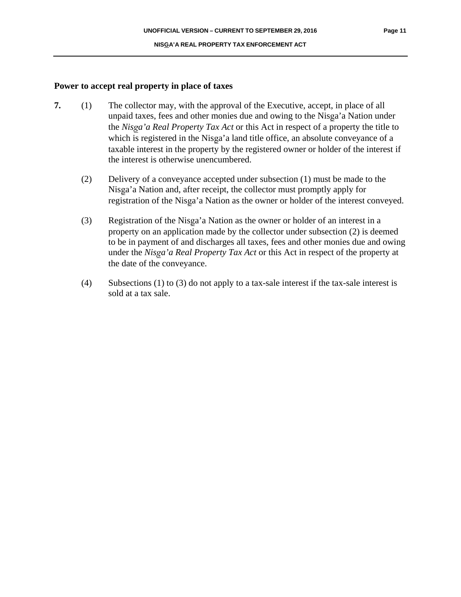#### **Power to accept real property in place of taxes**

- **7.** (1) The collector may, with the approval of the Executive, accept, in place of all unpaid taxes, fees and other monies due and owing to the Nisga'a Nation under the *NisÞa'a Real Property Tax Act* or this Act in respect of a property the title to which is registered in the Nisga'a land title office, an absolute conveyance of a taxable interest in the property by the registered owner or holder of the interest if the interest is otherwise unencumbered.
	- (2) Delivery of a conveyance accepted under subsection (1) must be made to the Nisga'a Nation and, after receipt, the collector must promptly apply for registration of the Nisga'a Nation as the owner or holder of the interest conveyed.
	- (3) Registration of the Nisga'a Nation as the owner or holder of an interest in a property on an application made by the collector under subsection (2) is deemed to be in payment of and discharges all taxes, fees and other monies due and owing under the *Nisga'a Real Property Tax Act* or this Act in respect of the property at the date of the conveyance.
	- (4) Subsections (1) to (3) do not apply to a tax-sale interest if the tax-sale interest is sold at a tax sale.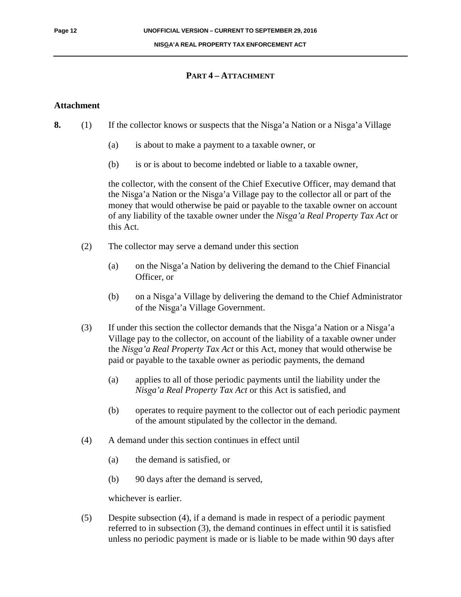#### **NISGA'A REAL PROPERTY TAX ENFORCEMENT ACT**

#### **PART 4 – ATTACHMENT**

#### **Attachment**

- **8.** (1) If the collector knows or suspects that the Nisga'a Nation or a Nisga'a Village
	- (a) is about to make a payment to a taxable owner, or
	- (b) is or is about to become indebted or liable to a taxable owner,

the collector, with the consent of the Chief Executive Officer, may demand that the Nisga'a Nation or the Nisga'a Village pay to the collector all or part of the money that would otherwise be paid or payable to the taxable owner on account of any liability of the taxable owner under the *NisÞa'a Real Property Tax Act* or this Act.

- (2) The collector may serve a demand under this section
	- (a) on the Nisga'a Nation by delivering the demand to the Chief Financial Officer, or
	- (b) on a Nisga'a Village by delivering the demand to the Chief Administrator of the Nisga'a Village Government.
- (3) If under this section the collector demands that the Nisga'a Nation or a Nisga'a Village pay to the collector, on account of the liability of a taxable owner under the *NisÞa'a Real Property Tax Act* or this Act, money that would otherwise be paid or payable to the taxable owner as periodic payments, the demand
	- (a) applies to all of those periodic payments until the liability under the *NisÞa'a Real Property Tax Act* or this Act is satisfied, and
	- (b) operates to require payment to the collector out of each periodic payment of the amount stipulated by the collector in the demand.
- (4) A demand under this section continues in effect until
	- (a) the demand is satisfied, or
	- (b) 90 days after the demand is served,

whichever is earlier.

(5) Despite subsection (4), if a demand is made in respect of a periodic payment referred to in subsection (3), the demand continues in effect until it is satisfied unless no periodic payment is made or is liable to be made within 90 days after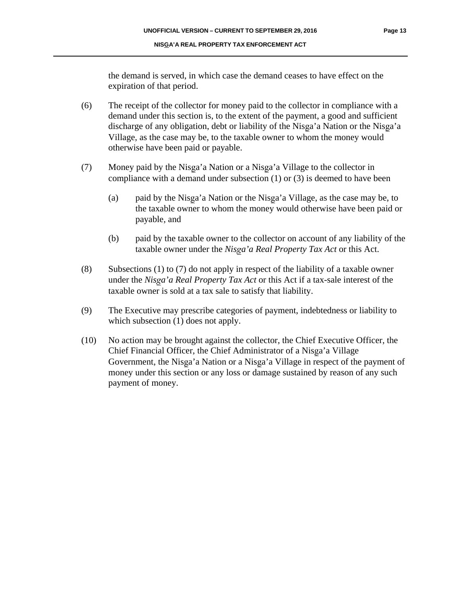the demand is served, in which case the demand ceases to have effect on the expiration of that period.

- (6) The receipt of the collector for money paid to the collector in compliance with a demand under this section is, to the extent of the payment, a good and sufficient discharge of any obligation, debt or liability of the Nisga'a Nation or the Nisga'a Village, as the case may be, to the taxable owner to whom the money would otherwise have been paid or payable.
- (7) Money paid by the Nisga'a Nation or a Nisga'a Village to the collector in compliance with a demand under subsection (1) or (3) is deemed to have been
	- (a) paid by the Nisga'a Nation or the Nisga'a Village, as the case may be, to the taxable owner to whom the money would otherwise have been paid or payable, and
	- (b) paid by the taxable owner to the collector on account of any liability of the taxable owner under the *NisÞa'a Real Property Tax Act* or this Act.
- (8) Subsections (1) to (7) do not apply in respect of the liability of a taxable owner under the *NisÞa'a Real Property Tax Act* or this Act if a tax-sale interest of the taxable owner is sold at a tax sale to satisfy that liability.
- (9) The Executive may prescribe categories of payment, indebtedness or liability to which subsection  $(1)$  does not apply.
- (10) No action may be brought against the collector, the Chief Executive Officer, the Chief Financial Officer, the Chief Administrator of a Nisga'a Village Government, the Nisga'a Nation or a Nisga'a Village in respect of the payment of money under this section or any loss or damage sustained by reason of any such payment of money.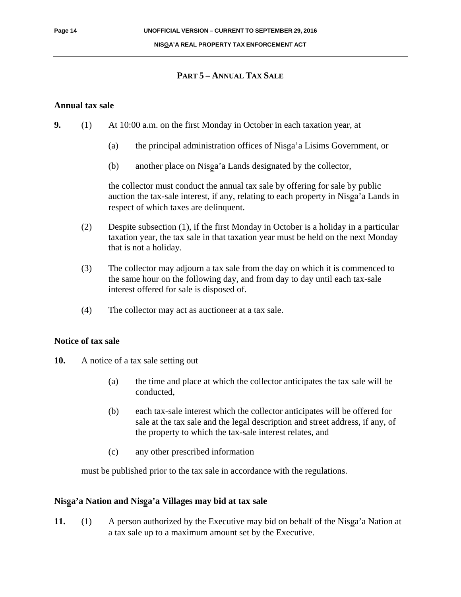#### **PART 5 – ANNUAL TAX SALE**

#### **Annual tax sale**

- **9.** (1) At 10:00 a.m. on the first Monday in October in each taxation year, at
	- (a) the principal administration offices of Nisga'a Lisims Government, or
	- (b) another place on Nisga'a Lands designated by the collector,

the collector must conduct the annual tax sale by offering for sale by public auction the tax-sale interest, if any, relating to each property in Nisga'a Lands in respect of which taxes are delinquent.

- (2) Despite subsection (1), if the first Monday in October is a holiday in a particular taxation year, the tax sale in that taxation year must be held on the next Monday that is not a holiday.
- (3) The collector may adjourn a tax sale from the day on which it is commenced to the same hour on the following day, and from day to day until each tax-sale interest offered for sale is disposed of.
- (4) The collector may act as auctioneer at a tax sale.

#### **Notice of tax sale**

- **10.** A notice of a tax sale setting out
	- (a) the time and place at which the collector anticipates the tax sale will be conducted,
	- (b) each tax-sale interest which the collector anticipates will be offered for sale at the tax sale and the legal description and street address, if any, of the property to which the tax-sale interest relates, and
	- (c) any other prescribed information

must be published prior to the tax sale in accordance with the regulations.

#### **NisÞa'a Nation and NisÞa'a Villages may bid at tax sale**

**11.** (1) A person authorized by the Executive may bid on behalf of the Nisga'a Nation at a tax sale up to a maximum amount set by the Executive.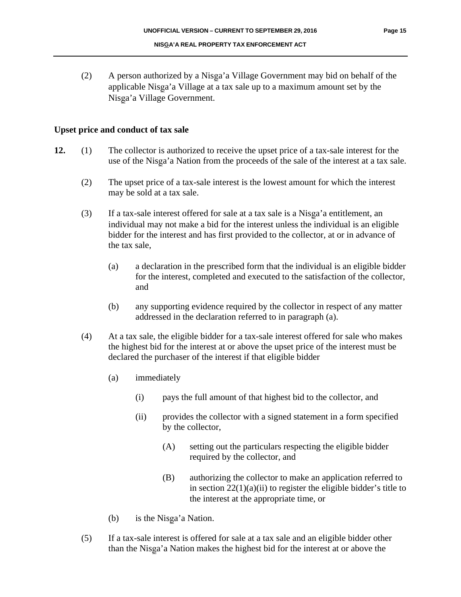(2) A person authorized by a Nisga'a Village Government may bid on behalf of the applicable Nisga'a Village at a tax sale up to a maximum amount set by the Nisga'a Village Government.

#### **Upset price and conduct of tax sale**

- **12.** (1) The collector is authorized to receive the upset price of a tax-sale interest for the use of the Nisga'a Nation from the proceeds of the sale of the interest at a tax sale.
	- (2) The upset price of a tax-sale interest is the lowest amount for which the interest may be sold at a tax sale.
	- $(3)$  If a tax-sale interest offered for sale at a tax sale is a Nisga'a entitlement, an individual may not make a bid for the interest unless the individual is an eligible bidder for the interest and has first provided to the collector, at or in advance of the tax sale,
		- (a) a declaration in the prescribed form that the individual is an eligible bidder for the interest, completed and executed to the satisfaction of the collector, and
		- (b) any supporting evidence required by the collector in respect of any matter addressed in the declaration referred to in paragraph (a).
	- (4) At a tax sale, the eligible bidder for a tax-sale interest offered for sale who makes the highest bid for the interest at or above the upset price of the interest must be declared the purchaser of the interest if that eligible bidder
		- (a) immediately
			- (i) pays the full amount of that highest bid to the collector, and
			- (ii) provides the collector with a signed statement in a form specified by the collector,
				- (A) setting out the particulars respecting the eligible bidder required by the collector, and
				- (B) authorizing the collector to make an application referred to in section  $22(1)(a)(ii)$  to register the eligible bidder's title to the interest at the appropriate time, or
		- (b) is the Nisga'a Nation.
	- (5) If a tax-sale interest is offered for sale at a tax sale and an eligible bidder other than the Nisga'a Nation makes the highest bid for the interest at or above the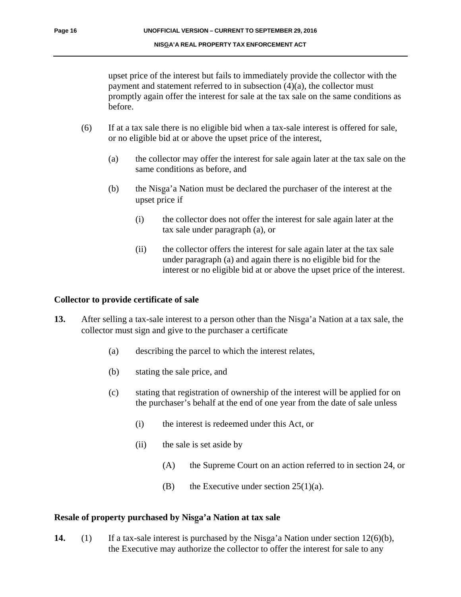upset price of the interest but fails to immediately provide the collector with the payment and statement referred to in subsection (4)(a), the collector must promptly again offer the interest for sale at the tax sale on the same conditions as before.

- (6) If at a tax sale there is no eligible bid when a tax-sale interest is offered for sale, or no eligible bid at or above the upset price of the interest,
	- (a) the collector may offer the interest for sale again later at the tax sale on the same conditions as before, and
	- (b) the Nisga'a Nation must be declared the purchaser of the interest at the upset price if
		- (i) the collector does not offer the interest for sale again later at the tax sale under paragraph (a), or
		- (ii) the collector offers the interest for sale again later at the tax sale under paragraph (a) and again there is no eligible bid for the interest or no eligible bid at or above the upset price of the interest.

#### **Collector to provide certificate of sale**

- **13.** After selling a tax-sale interest to a person other than the Nisga'a Nation at a tax sale, the collector must sign and give to the purchaser a certificate
	- (a) describing the parcel to which the interest relates,
	- (b) stating the sale price, and
	- (c) stating that registration of ownership of the interest will be applied for on the purchaser's behalf at the end of one year from the date of sale unless
		- (i) the interest is redeemed under this Act, or
		- (ii) the sale is set aside by
			- (A) the Supreme Court on an action referred to in section 24, or
			- (B) the Executive under section  $25(1)(a)$ .

#### Resale of property purchased by Nisga'a Nation at tax sale

**14.** (1) If a tax-sale interest is purchased by the Nisga'a Nation under section  $12(6)(b)$ , the Executive may authorize the collector to offer the interest for sale to any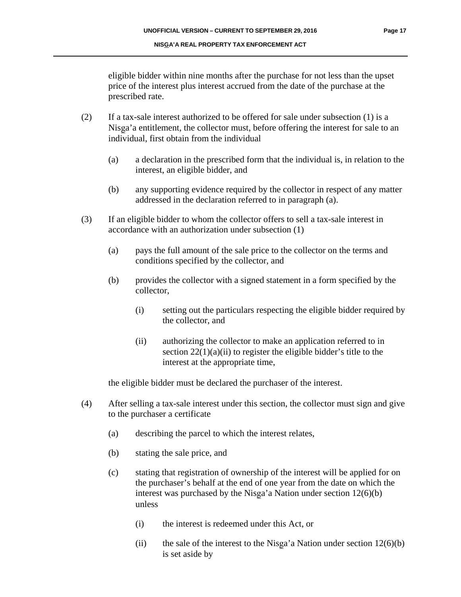eligible bidder within nine months after the purchase for not less than the upset price of the interest plus interest accrued from the date of the purchase at the prescribed rate.

- (2) If a tax-sale interest authorized to be offered for sale under subsection (1) is a Nisga'a entitlement, the collector must, before offering the interest for sale to an individual, first obtain from the individual
	- (a) a declaration in the prescribed form that the individual is, in relation to the interest, an eligible bidder, and
	- (b) any supporting evidence required by the collector in respect of any matter addressed in the declaration referred to in paragraph (a).
- (3) If an eligible bidder to whom the collector offers to sell a tax-sale interest in accordance with an authorization under subsection (1)
	- (a) pays the full amount of the sale price to the collector on the terms and conditions specified by the collector, and
	- (b) provides the collector with a signed statement in a form specified by the collector,
		- (i) setting out the particulars respecting the eligible bidder required by the collector, and
		- (ii) authorizing the collector to make an application referred to in section  $22(1)(a)(ii)$  to register the eligible bidder's title to the interest at the appropriate time,

the eligible bidder must be declared the purchaser of the interest.

- (4) After selling a tax-sale interest under this section, the collector must sign and give to the purchaser a certificate
	- (a) describing the parcel to which the interest relates,
	- (b) stating the sale price, and
	- (c) stating that registration of ownership of the interest will be applied for on the purchaser's behalf at the end of one year from the date on which the interest was purchased by the Nisga'a Nation under section  $12(6)(b)$ unless
		- (i) the interest is redeemed under this Act, or
		- (ii) the sale of the interest to the Nisga'a Nation under section  $12(6)(b)$ is set aside by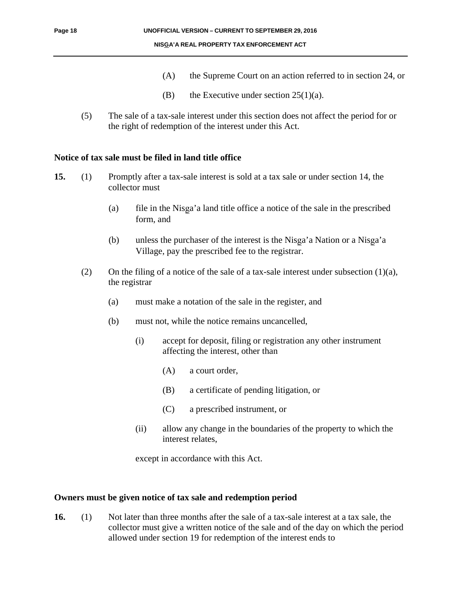- (A) the Supreme Court on an action referred to in section 24, or
- (B) the Executive under section  $25(1)(a)$ .
- (5) The sale of a tax-sale interest under this section does not affect the period for or the right of redemption of the interest under this Act.

#### **Notice of tax sale must be filed in land title office**

- **15.** (1) Promptly after a tax-sale interest is sold at a tax sale or under section 14, the collector must
	- (a) file in the Nisga'a land title office a notice of the sale in the prescribed form, and
	- (b) unless the purchaser of the interest is the Nisga'a Nation or a Nisga'a Village, pay the prescribed fee to the registrar.
	- (2) On the filing of a notice of the sale of a tax-sale interest under subsection  $(1)(a)$ , the registrar
		- (a) must make a notation of the sale in the register, and
		- (b) must not, while the notice remains uncancelled,
			- (i) accept for deposit, filing or registration any other instrument affecting the interest, other than
				- (A) a court order,
				- (B) a certificate of pending litigation, or
				- (C) a prescribed instrument, or
			- (ii) allow any change in the boundaries of the property to which the interest relates,

except in accordance with this Act.

#### **Owners must be given notice of tax sale and redemption period**

**16.** (1) Not later than three months after the sale of a tax-sale interest at a tax sale, the collector must give a written notice of the sale and of the day on which the period allowed under section 19 for redemption of the interest ends to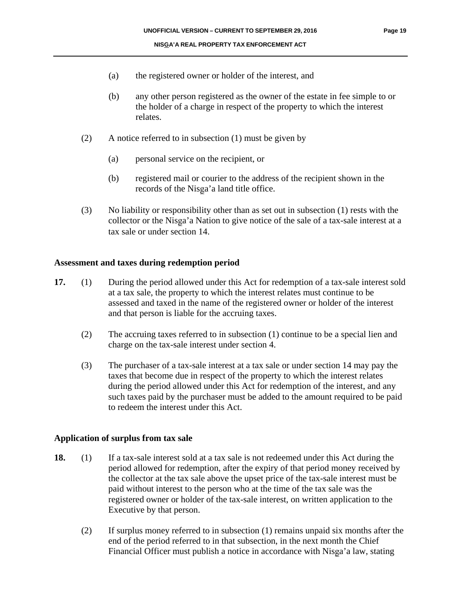- (a) the registered owner or holder of the interest, and
- (b) any other person registered as the owner of the estate in fee simple to or the holder of a charge in respect of the property to which the interest relates.
- (2) A notice referred to in subsection (1) must be given by
	- (a) personal service on the recipient, or
	- (b) registered mail or courier to the address of the recipient shown in the records of the Nisga'a land title office.
- (3) No liability or responsibility other than as set out in subsection (1) rests with the collector or the Nisga'a Nation to give notice of the sale of a tax-sale interest at a tax sale or under section 14.

#### **Assessment and taxes during redemption period**

- **17.** (1) During the period allowed under this Act for redemption of a tax-sale interest sold at a tax sale, the property to which the interest relates must continue to be assessed and taxed in the name of the registered owner or holder of the interest and that person is liable for the accruing taxes.
	- (2) The accruing taxes referred to in subsection (1) continue to be a special lien and charge on the tax-sale interest under section 4.
	- (3) The purchaser of a tax-sale interest at a tax sale or under section 14 may pay the taxes that become due in respect of the property to which the interest relates during the period allowed under this Act for redemption of the interest, and any such taxes paid by the purchaser must be added to the amount required to be paid to redeem the interest under this Act.

#### **Application of surplus from tax sale**

- **18.** (1) If a tax-sale interest sold at a tax sale is not redeemed under this Act during the period allowed for redemption, after the expiry of that period money received by the collector at the tax sale above the upset price of the tax-sale interest must be paid without interest to the person who at the time of the tax sale was the registered owner or holder of the tax-sale interest, on written application to the Executive by that person.
	- (2) If surplus money referred to in subsection (1) remains unpaid six months after the end of the period referred to in that subsection, in the next month the Chief Financial Officer must publish a notice in accordance with Nisga'a law, stating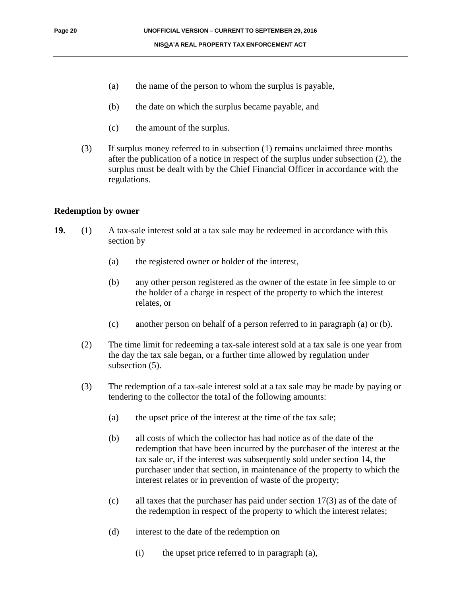- (a) the name of the person to whom the surplus is payable,
- (b) the date on which the surplus became payable, and
- (c) the amount of the surplus.
- (3) If surplus money referred to in subsection (1) remains unclaimed three months after the publication of a notice in respect of the surplus under subsection (2), the surplus must be dealt with by the Chief Financial Officer in accordance with the regulations.

#### **Redemption by owner**

- **19.** (1) A tax-sale interest sold at a tax sale may be redeemed in accordance with this section by
	- (a) the registered owner or holder of the interest,
	- (b) any other person registered as the owner of the estate in fee simple to or the holder of a charge in respect of the property to which the interest relates, or
	- (c) another person on behalf of a person referred to in paragraph (a) or (b).
	- (2) The time limit for redeeming a tax-sale interest sold at a tax sale is one year from the day the tax sale began, or a further time allowed by regulation under subsection  $(5)$ .
	- (3) The redemption of a tax-sale interest sold at a tax sale may be made by paying or tendering to the collector the total of the following amounts:
		- (a) the upset price of the interest at the time of the tax sale;
		- (b) all costs of which the collector has had notice as of the date of the redemption that have been incurred by the purchaser of the interest at the tax sale or, if the interest was subsequently sold under section 14, the purchaser under that section, in maintenance of the property to which the interest relates or in prevention of waste of the property;
		- (c) all taxes that the purchaser has paid under section 17(3) as of the date of the redemption in respect of the property to which the interest relates;
		- (d) interest to the date of the redemption on
			- (i) the upset price referred to in paragraph (a),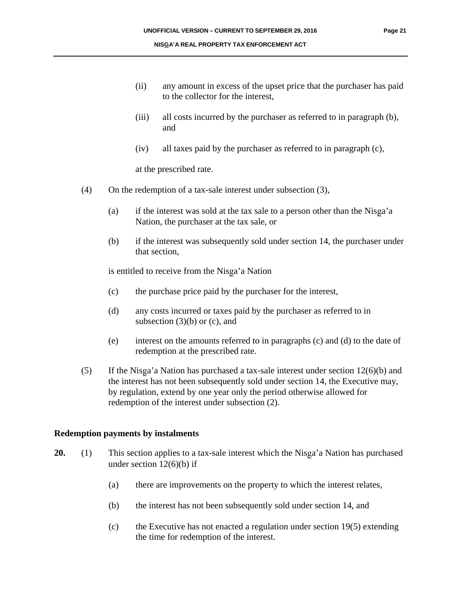- (ii) any amount in excess of the upset price that the purchaser has paid to the collector for the interest,
- (iii) all costs incurred by the purchaser as referred to in paragraph (b), and
- (iv) all taxes paid by the purchaser as referred to in paragraph (c),

at the prescribed rate.

- (4) On the redemption of a tax-sale interest under subsection (3),
	- (a) if the interest was sold at the tax sale to a person other than the Nisga'a Nation, the purchaser at the tax sale, or
	- (b) if the interest was subsequently sold under section 14, the purchaser under that section,

is entitled to receive from the Nisga'a Nation

- (c) the purchase price paid by the purchaser for the interest,
- (d) any costs incurred or taxes paid by the purchaser as referred to in subsection  $(3)(b)$  or  $(c)$ , and
- (e) interest on the amounts referred to in paragraphs (c) and (d) to the date of redemption at the prescribed rate.
- (5) If the Nisga'a Nation has purchased a tax-sale interest under section  $12(6)(b)$  and the interest has not been subsequently sold under section 14, the Executive may, by regulation, extend by one year only the period otherwise allowed for redemption of the interest under subsection (2).

#### **Redemption payments by instalments**

- **20.** (1) This section applies to a tax-sale interest which the Nisga'a Nation has purchased under section  $12(6)(b)$  if
	- (a) there are improvements on the property to which the interest relates,
	- (b) the interest has not been subsequently sold under section 14, and
	- (c) the Executive has not enacted a regulation under section 19(5) extending the time for redemption of the interest.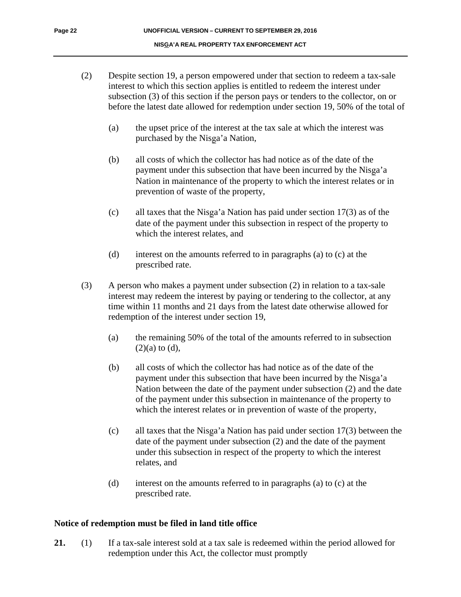- (2) Despite section 19, a person empowered under that section to redeem a tax-sale interest to which this section applies is entitled to redeem the interest under subsection (3) of this section if the person pays or tenders to the collector, on or before the latest date allowed for redemption under section 19, 50% of the total of
	- (a) the upset price of the interest at the tax sale at which the interest was purchased by the Nisga'a Nation,
	- (b) all costs of which the collector has had notice as of the date of the payment under this subsection that have been incurred by the Nisga'a Nation in maintenance of the property to which the interest relates or in prevention of waste of the property,
	- (c) all taxes that the Nisga'a Nation has paid under section  $17(3)$  as of the date of the payment under this subsection in respect of the property to which the interest relates, and
	- (d) interest on the amounts referred to in paragraphs (a) to (c) at the prescribed rate.
- (3) A person who makes a payment under subsection (2) in relation to a tax-sale interest may redeem the interest by paying or tendering to the collector, at any time within 11 months and 21 days from the latest date otherwise allowed for redemption of the interest under section 19,
	- (a) the remaining 50% of the total of the amounts referred to in subsection  $(2)(a)$  to  $(d)$ ,
	- (b) all costs of which the collector has had notice as of the date of the payment under this subsection that have been incurred by the Nisga'a Nation between the date of the payment under subsection (2) and the date of the payment under this subsection in maintenance of the property to which the interest relates or in prevention of waste of the property,
	- (c) all taxes that the Nisga'a Nation has paid under section  $17(3)$  between the date of the payment under subsection (2) and the date of the payment under this subsection in respect of the property to which the interest relates, and
	- (d) interest on the amounts referred to in paragraphs (a) to (c) at the prescribed rate.

#### **Notice of redemption must be filed in land title office**

**21.** (1) If a tax-sale interest sold at a tax sale is redeemed within the period allowed for redemption under this Act, the collector must promptly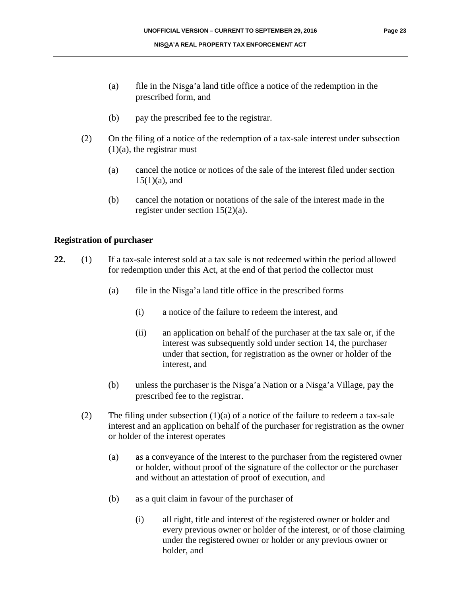- (a) file in the Nisga'a land title office a notice of the redemption in the prescribed form, and
- (b) pay the prescribed fee to the registrar.
- (2) On the filing of a notice of the redemption of a tax-sale interest under subsection  $(1)(a)$ , the registrar must
	- (a) cancel the notice or notices of the sale of the interest filed under section  $15(1)(a)$ , and
	- (b) cancel the notation or notations of the sale of the interest made in the register under section 15(2)(a).

#### **Registration of purchaser**

- **22.** (1) If a tax-sale interest sold at a tax sale is not redeemed within the period allowed for redemption under this Act, at the end of that period the collector must
	- $(a)$  file in the Nisga'a land title office in the prescribed forms
		- (i) a notice of the failure to redeem the interest, and
		- (ii) an application on behalf of the purchaser at the tax sale or, if the interest was subsequently sold under section 14, the purchaser under that section, for registration as the owner or holder of the interest, and
	- (b) unless the purchaser is the Nisga'a Nation or a Nisga'a Village, pay the prescribed fee to the registrar.
	- (2) The filing under subsection  $(1)(a)$  of a notice of the failure to redeem a tax-sale interest and an application on behalf of the purchaser for registration as the owner or holder of the interest operates
		- (a) as a conveyance of the interest to the purchaser from the registered owner or holder, without proof of the signature of the collector or the purchaser and without an attestation of proof of execution, and
		- (b) as a quit claim in favour of the purchaser of
			- (i) all right, title and interest of the registered owner or holder and every previous owner or holder of the interest, or of those claiming under the registered owner or holder or any previous owner or holder, and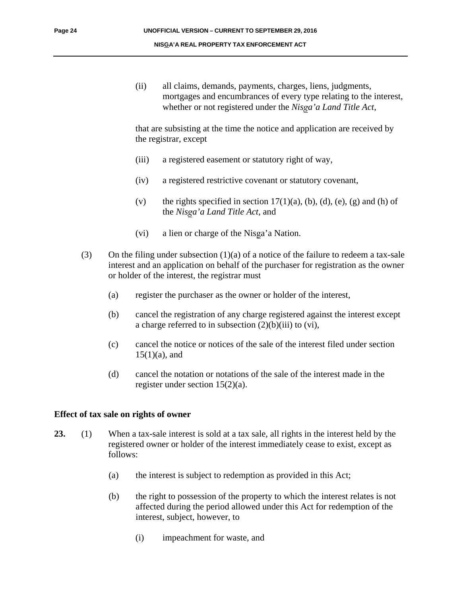(ii) all claims, demands, payments, charges, liens, judgments, mortgages and encumbrances of every type relating to the interest, whether or not registered under the *NisÞa'a Land Title Act*,

that are subsisting at the time the notice and application are received by the registrar, except

- (iii) a registered easement or statutory right of way,
- (iv) a registered restrictive covenant or statutory covenant,
- (v) the rights specified in section  $17(1)(a)$ , (b), (d), (e), (g) and (h) of the *NisÞa'a Land Title Act*, and
- (vi) a lien or charge of the Nisga'a Nation.
- (3) On the filing under subsection (1)(a) of a notice of the failure to redeem a tax-sale interest and an application on behalf of the purchaser for registration as the owner or holder of the interest, the registrar must
	- (a) register the purchaser as the owner or holder of the interest,
	- (b) cancel the registration of any charge registered against the interest except a charge referred to in subsection  $(2)(b)(iii)$  to  $(vi)$ ,
	- (c) cancel the notice or notices of the sale of the interest filed under section  $15(1)(a)$ , and
	- (d) cancel the notation or notations of the sale of the interest made in the register under section 15(2)(a).

#### **Effect of tax sale on rights of owner**

- **23.** (1) When a tax-sale interest is sold at a tax sale, all rights in the interest held by the registered owner or holder of the interest immediately cease to exist, except as follows:
	- (a) the interest is subject to redemption as provided in this Act;
	- (b) the right to possession of the property to which the interest relates is not affected during the period allowed under this Act for redemption of the interest, subject, however, to
		- (i) impeachment for waste, and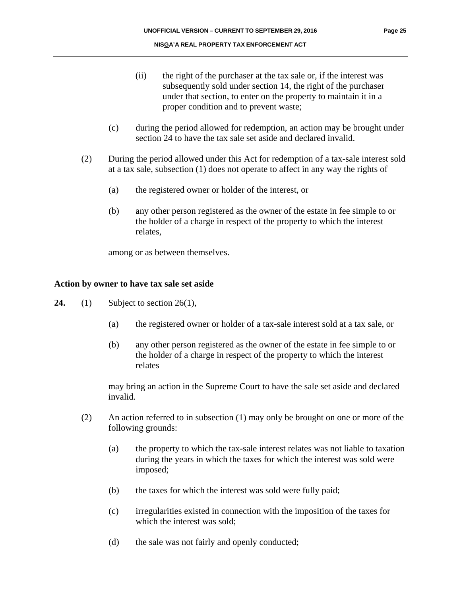- (ii) the right of the purchaser at the tax sale or, if the interest was subsequently sold under section 14, the right of the purchaser under that section, to enter on the property to maintain it in a proper condition and to prevent waste;
- (c) during the period allowed for redemption, an action may be brought under section 24 to have the tax sale set aside and declared invalid.
- (2) During the period allowed under this Act for redemption of a tax-sale interest sold at a tax sale, subsection (1) does not operate to affect in any way the rights of
	- (a) the registered owner or holder of the interest, or
	- (b) any other person registered as the owner of the estate in fee simple to or the holder of a charge in respect of the property to which the interest relates,

among or as between themselves.

#### **Action by owner to have tax sale set aside**

- **24.** (1) Subject to section 26(1),
	- (a) the registered owner or holder of a tax-sale interest sold at a tax sale, or
	- (b) any other person registered as the owner of the estate in fee simple to or the holder of a charge in respect of the property to which the interest relates

may bring an action in the Supreme Court to have the sale set aside and declared invalid.

- (2) An action referred to in subsection (1) may only be brought on one or more of the following grounds:
	- (a) the property to which the tax-sale interest relates was not liable to taxation during the years in which the taxes for which the interest was sold were imposed;
	- (b) the taxes for which the interest was sold were fully paid;
	- (c) irregularities existed in connection with the imposition of the taxes for which the interest was sold;
	- (d) the sale was not fairly and openly conducted;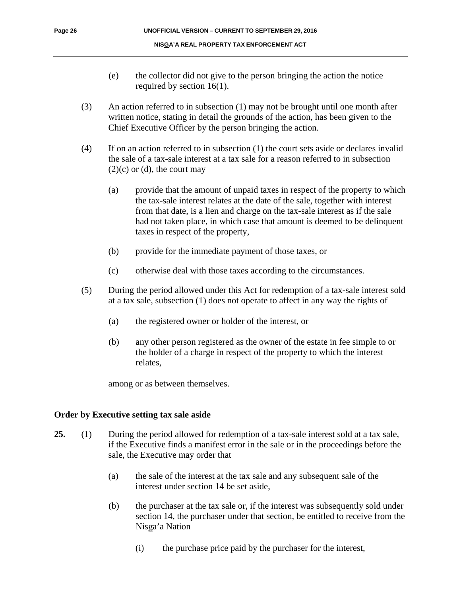- (e) the collector did not give to the person bringing the action the notice required by section 16(1).
- (3) An action referred to in subsection (1) may not be brought until one month after written notice, stating in detail the grounds of the action, has been given to the Chief Executive Officer by the person bringing the action.
- (4) If on an action referred to in subsection (1) the court sets aside or declares invalid the sale of a tax-sale interest at a tax sale for a reason referred to in subsection  $(2)(c)$  or  $(d)$ , the court may
	- (a) provide that the amount of unpaid taxes in respect of the property to which the tax-sale interest relates at the date of the sale, together with interest from that date, is a lien and charge on the tax-sale interest as if the sale had not taken place, in which case that amount is deemed to be delinquent taxes in respect of the property,
	- (b) provide for the immediate payment of those taxes, or
	- (c) otherwise deal with those taxes according to the circumstances.
- (5) During the period allowed under this Act for redemption of a tax-sale interest sold at a tax sale, subsection (1) does not operate to affect in any way the rights of
	- (a) the registered owner or holder of the interest, or
	- (b) any other person registered as the owner of the estate in fee simple to or the holder of a charge in respect of the property to which the interest relates,

among or as between themselves.

#### **Order by Executive setting tax sale aside**

- **25.** (1) During the period allowed for redemption of a tax-sale interest sold at a tax sale, if the Executive finds a manifest error in the sale or in the proceedings before the sale, the Executive may order that
	- (a) the sale of the interest at the tax sale and any subsequent sale of the interest under section 14 be set aside,
	- (b) the purchaser at the tax sale or, if the interest was subsequently sold under section 14, the purchaser under that section, be entitled to receive from the Nisga'a Nation
		- (i) the purchase price paid by the purchaser for the interest,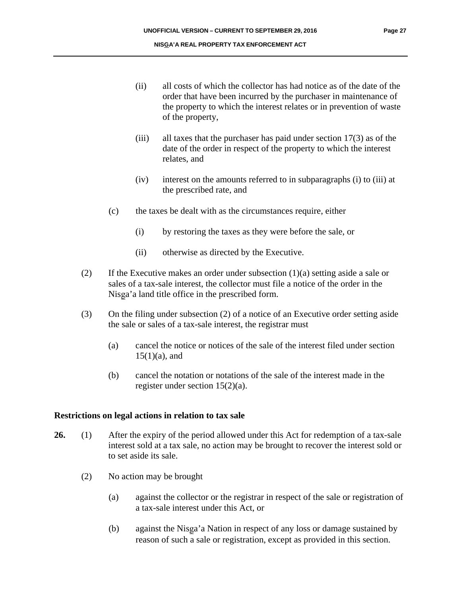- (ii) all costs of which the collector has had notice as of the date of the order that have been incurred by the purchaser in maintenance of the property to which the interest relates or in prevention of waste of the property,
- (iii) all taxes that the purchaser has paid under section 17(3) as of the date of the order in respect of the property to which the interest relates, and
- (iv) interest on the amounts referred to in subparagraphs (i) to (iii) at the prescribed rate, and
- (c) the taxes be dealt with as the circumstances require, either
	- (i) by restoring the taxes as they were before the sale, or
	- (ii) otherwise as directed by the Executive.
- (2) If the Executive makes an order under subsection (1)(a) setting aside a sale or sales of a tax-sale interest, the collector must file a notice of the order in the Nisga'a land title office in the prescribed form.
- (3) On the filing under subsection (2) of a notice of an Executive order setting aside the sale or sales of a tax-sale interest, the registrar must
	- (a) cancel the notice or notices of the sale of the interest filed under section  $15(1)(a)$ , and
	- (b) cancel the notation or notations of the sale of the interest made in the register under section 15(2)(a).

#### **Restrictions on legal actions in relation to tax sale**

- **26.** (1) After the expiry of the period allowed under this Act for redemption of a tax-sale interest sold at a tax sale, no action may be brought to recover the interest sold or to set aside its sale.
	- (2) No action may be brought
		- (a) against the collector or the registrar in respect of the sale or registration of a tax-sale interest under this Act, or
		- (b) against the Nisga'a Nation in respect of any loss or damage sustained by reason of such a sale or registration, except as provided in this section.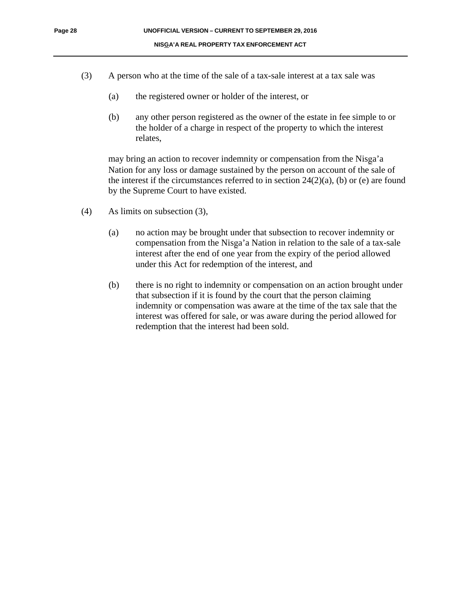- (3) A person who at the time of the sale of a tax-sale interest at a tax sale was
	- (a) the registered owner or holder of the interest, or
	- (b) any other person registered as the owner of the estate in fee simple to or the holder of a charge in respect of the property to which the interest relates,

may bring an action to recover indemnity or compensation from the Nisga'a Nation for any loss or damage sustained by the person on account of the sale of the interest if the circumstances referred to in section  $24(2)(a)$ , (b) or (e) are found by the Supreme Court to have existed.

- (4) As limits on subsection (3),
	- (a) no action may be brought under that subsection to recover indemnity or compensation from the Nisga'a Nation in relation to the sale of a tax-sale interest after the end of one year from the expiry of the period allowed under this Act for redemption of the interest, and
	- (b) there is no right to indemnity or compensation on an action brought under that subsection if it is found by the court that the person claiming indemnity or compensation was aware at the time of the tax sale that the interest was offered for sale, or was aware during the period allowed for redemption that the interest had been sold.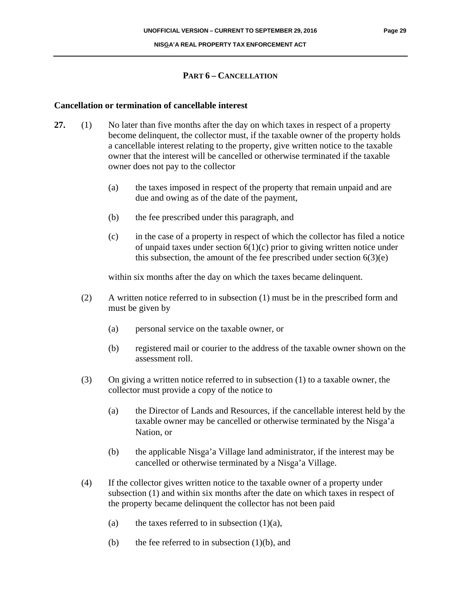#### **PART 6 – CANCELLATION**

#### **Cancellation or termination of cancellable interest**

- **27.** (1) No later than five months after the day on which taxes in respect of a property become delinquent, the collector must, if the taxable owner of the property holds a cancellable interest relating to the property, give written notice to the taxable owner that the interest will be cancelled or otherwise terminated if the taxable owner does not pay to the collector
	- (a) the taxes imposed in respect of the property that remain unpaid and are due and owing as of the date of the payment,
	- (b) the fee prescribed under this paragraph, and
	- (c) in the case of a property in respect of which the collector has filed a notice of unpaid taxes under section  $6(1)(c)$  prior to giving written notice under this subsection, the amount of the fee prescribed under section  $6(3)(e)$

within six months after the day on which the taxes became delinquent.

- (2) A written notice referred to in subsection (1) must be in the prescribed form and must be given by
	- (a) personal service on the taxable owner, or
	- (b) registered mail or courier to the address of the taxable owner shown on the assessment roll.
- (3) On giving a written notice referred to in subsection (1) to a taxable owner, the collector must provide a copy of the notice to
	- (a) the Director of Lands and Resources, if the cancellable interest held by the taxable owner may be cancelled or otherwise terminated by the Nisga'a Nation, or
	- (b) the applicable Nisga'a Village land administrator, if the interest may be cancelled or otherwise terminated by a Nisga'a Village.
- (4) If the collector gives written notice to the taxable owner of a property under subsection (1) and within six months after the date on which taxes in respect of the property became delinquent the collector has not been paid
	- (a) the taxes referred to in subsection  $(1)(a)$ ,
	- (b) the fee referred to in subsection  $(1)(b)$ , and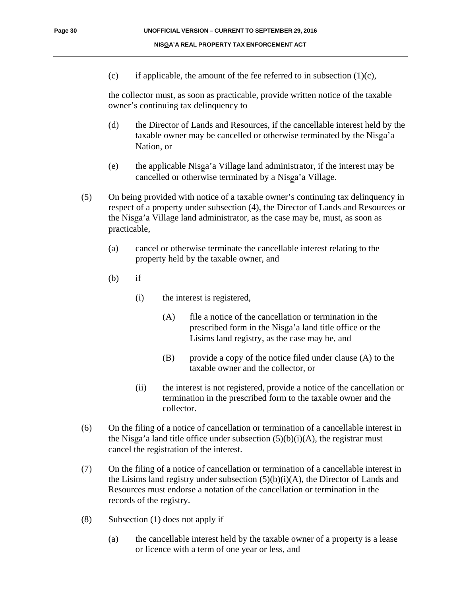(c) if applicable, the amount of the fee referred to in subsection  $(1)(c)$ ,

the collector must, as soon as practicable, provide written notice of the taxable owner's continuing tax delinquency to

- (d) the Director of Lands and Resources, if the cancellable interest held by the taxable owner may be cancelled or otherwise terminated by the Nisga'a Nation, or
- (e) the applicable Nisga'a Village land administrator, if the interest may be cancelled or otherwise terminated by a Nisga'a Village.
- (5) On being provided with notice of a taxable owner's continuing tax delinquency in respect of a property under subsection (4), the Director of Lands and Resources or the Nisga'a Village land administrator, as the case may be, must, as soon as practicable,
	- (a) cancel or otherwise terminate the cancellable interest relating to the property held by the taxable owner, and
	- $(b)$  if
		- (i) the interest is registered,
			- (A) file a notice of the cancellation or termination in the prescribed form in the Nisga'a land title office or the Lisims land registry, as the case may be, and
			- (B) provide a copy of the notice filed under clause (A) to the taxable owner and the collector, or
		- (ii) the interest is not registered, provide a notice of the cancellation or termination in the prescribed form to the taxable owner and the collector.
- (6) On the filing of a notice of cancellation or termination of a cancellable interest in the Nisga'a land title office under subsection  $(5)(b)(i)(A)$ , the registrar must cancel the registration of the interest.
- (7) On the filing of a notice of cancellation or termination of a cancellable interest in the Lisims land registry under subsection  $(5)(b)(i)(A)$ , the Director of Lands and Resources must endorse a notation of the cancellation or termination in the records of the registry.
- (8) Subsection (1) does not apply if
	- (a) the cancellable interest held by the taxable owner of a property is a lease or licence with a term of one year or less, and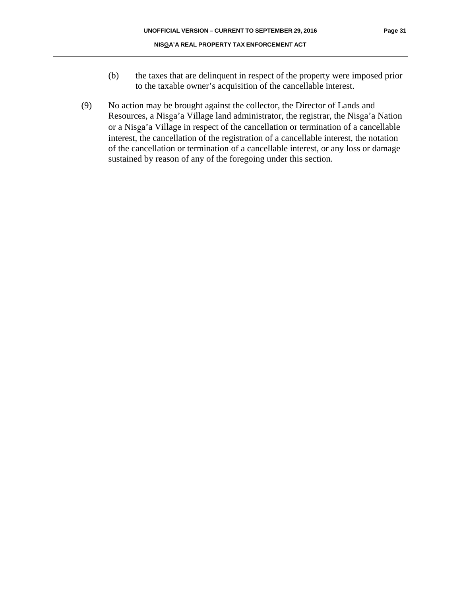- (b) the taxes that are delinquent in respect of the property were imposed prior to the taxable owner's acquisition of the cancellable interest.
- (9) No action may be brought against the collector, the Director of Lands and Resources, a Nisga'a Village land administrator, the registrar, the Nisga'a Nation or a Nisga'a Village in respect of the cancellation or termination of a cancellable interest, the cancellation of the registration of a cancellable interest, the notation of the cancellation or termination of a cancellable interest, or any loss or damage sustained by reason of any of the foregoing under this section.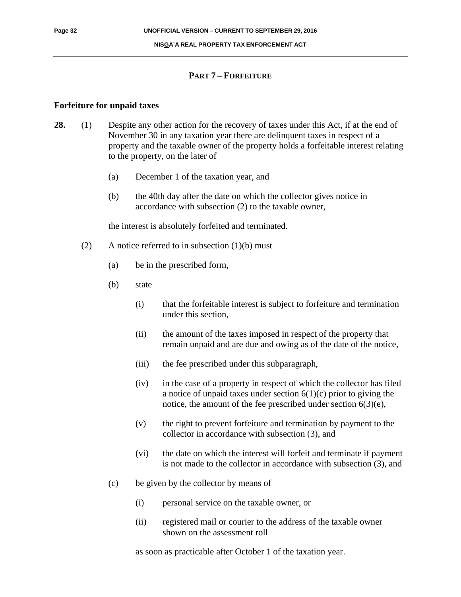#### **NISGA'A REAL PROPERTY TAX ENFORCEMENT ACT**

#### **PART 7 – FORFEITURE**

#### **Forfeiture for unpaid taxes**

- **28.** (1) Despite any other action for the recovery of taxes under this Act, if at the end of November 30 in any taxation year there are delinquent taxes in respect of a property and the taxable owner of the property holds a forfeitable interest relating to the property, on the later of
	- (a) December 1 of the taxation year, and
	- (b) the 40th day after the date on which the collector gives notice in accordance with subsection (2) to the taxable owner,

the interest is absolutely forfeited and terminated.

- (2) A notice referred to in subsection  $(1)(b)$  must
	- (a) be in the prescribed form,
	- (b) state
		- (i) that the forfeitable interest is subject to forfeiture and termination under this section,
		- (ii) the amount of the taxes imposed in respect of the property that remain unpaid and are due and owing as of the date of the notice,
		- (iii) the fee prescribed under this subparagraph,
		- (iv) in the case of a property in respect of which the collector has filed a notice of unpaid taxes under section  $6(1)(c)$  prior to giving the notice, the amount of the fee prescribed under section 6(3)(e),
		- (v) the right to prevent forfeiture and termination by payment to the collector in accordance with subsection (3), and
		- (vi) the date on which the interest will forfeit and terminate if payment is not made to the collector in accordance with subsection (3), and
	- (c) be given by the collector by means of
		- (i) personal service on the taxable owner, or
		- (ii) registered mail or courier to the address of the taxable owner shown on the assessment roll

as soon as practicable after October 1 of the taxation year.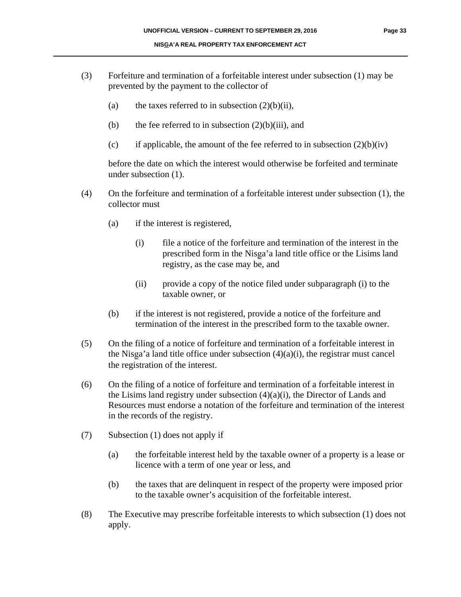- (3) Forfeiture and termination of a forfeitable interest under subsection (1) may be prevented by the payment to the collector of
	- (a) the taxes referred to in subsection  $(2)(b)(ii)$ ,
	- (b) the fee referred to in subsection  $(2)(b)(iii)$ , and
	- (c) if applicable, the amount of the fee referred to in subsection  $(2)(b)(iv)$

before the date on which the interest would otherwise be forfeited and terminate under subsection (1).

- (4) On the forfeiture and termination of a forfeitable interest under subsection (1), the collector must
	- (a) if the interest is registered,
		- (i) file a notice of the forfeiture and termination of the interest in the prescribed form in the Nisga'a land title office or the Lisims land registry, as the case may be, and
		- (ii) provide a copy of the notice filed under subparagraph (i) to the taxable owner, or
	- (b) if the interest is not registered, provide a notice of the forfeiture and termination of the interest in the prescribed form to the taxable owner.
- (5) On the filing of a notice of forfeiture and termination of a forfeitable interest in the Nisga'a land title office under subsection  $(4)(a)(i)$ , the registrar must cancel the registration of the interest.
- (6) On the filing of a notice of forfeiture and termination of a forfeitable interest in the Lisims land registry under subsection  $(4)(a)(i)$ , the Director of Lands and Resources must endorse a notation of the forfeiture and termination of the interest in the records of the registry.
- (7) Subsection (1) does not apply if
	- (a) the forfeitable interest held by the taxable owner of a property is a lease or licence with a term of one year or less, and
	- (b) the taxes that are delinquent in respect of the property were imposed prior to the taxable owner's acquisition of the forfeitable interest.
- (8) The Executive may prescribe forfeitable interests to which subsection (1) does not apply.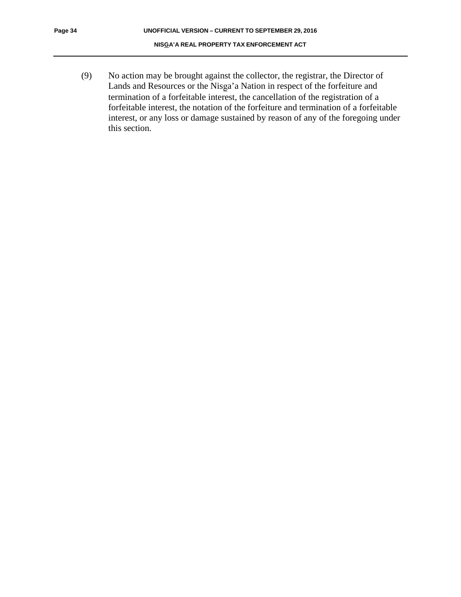(9) No action may be brought against the collector, the registrar, the Director of Lands and Resources or the Nisga'a Nation in respect of the forfeiture and termination of a forfeitable interest, the cancellation of the registration of a forfeitable interest, the notation of the forfeiture and termination of a forfeitable interest, or any loss or damage sustained by reason of any of the foregoing under this section.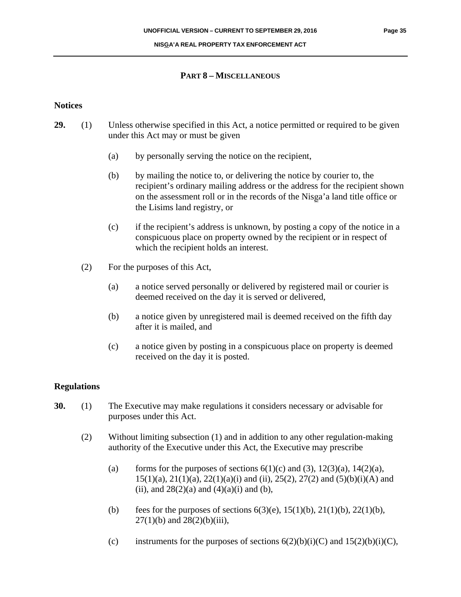#### **PART 8 – MISCELLANEOUS**

#### **Notices**

- **29.** (1) Unless otherwise specified in this Act, a notice permitted or required to be given under this Act may or must be given
	- (a) by personally serving the notice on the recipient,
	- (b) by mailing the notice to, or delivering the notice by courier to, the recipient's ordinary mailing address or the address for the recipient shown on the assessment roll or in the records of the Nisga'a land title office or the Lisims land registry, or
	- (c) if the recipient's address is unknown, by posting a copy of the notice in a conspicuous place on property owned by the recipient or in respect of which the recipient holds an interest.
	- (2) For the purposes of this Act,
		- (a) a notice served personally or delivered by registered mail or courier is deemed received on the day it is served or delivered,
		- (b) a notice given by unregistered mail is deemed received on the fifth day after it is mailed, and
		- (c) a notice given by posting in a conspicuous place on property is deemed received on the day it is posted.

#### **Regulations**

- **30.** (1) The Executive may make regulations it considers necessary or advisable for purposes under this Act.
	- (2) Without limiting subsection (1) and in addition to any other regulation-making authority of the Executive under this Act, the Executive may prescribe
		- (a) forms for the purposes of sections  $6(1)(c)$  and  $(3)$ ,  $12(3)(a)$ ,  $14(2)(a)$ , 15(1)(a), 21(1)(a), 22(1)(a)(i) and (ii), 25(2), 27(2) and (5)(b)(i)(A) and (ii), and  $28(2)(a)$  and  $(4)(a)(i)$  and  $(b)$ ,
		- (b) fees for the purposes of sections  $6(3)(e)$ ,  $15(1)(b)$ ,  $21(1)(b)$ ,  $22(1)(b)$ ,  $27(1)(b)$  and  $28(2)(b)(iii)$ ,
		- (c) instruments for the purposes of sections  $6(2)(b)(i)(C)$  and  $15(2)(b)(i)(C)$ ,